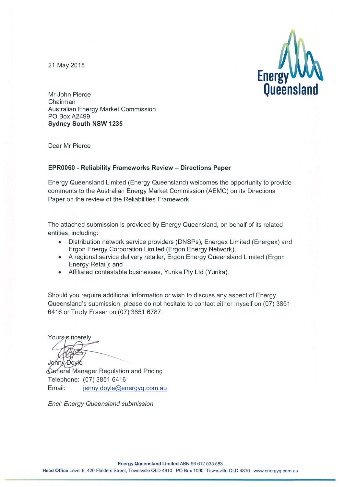21 May 2018



Mr John Pierce Chairman Australian Energy Market Commission PO Box A2499 **Sydney South NSW 1235** 

Dear Mr Pierce

#### EPR0060 - Reliability Frameworks Review - Directions Paper

Energy Queensland Limited (Energy Queensland) welcomes the opportunity to provide comments to the Australian Energy Market Commission (AEMC) on its Directions Paper on the review of the Reliabilities Framework.

The attached submission is provided by Energy Queensland, on behalf of its related entities, including:

- Distribution network service providers (DNSPs), Energex Limited (Energex) and  $\bullet$ Ergon Energy Corporation Limited (Ergon Energy Network);
- A regional service delivery retailer, Ergon Energy Queensland Limited (Ergon Energy Retail); and
- Affiliated contestable businesses, Yurika Pty Ltd (Yurika).  $\bullet$

Should you require additional information or wish to discuss any aspect of Energy Queensland's submission, please do not hesitate to contact either myself on (07) 3851 6416 or Trudy Fraser on (07) 3851 6787.

Yours sincerely

Jenny Doyle

General Manager Regulation and Pricing Telephone: (07) 3851 6416 Email: jenny.doyle@energyq.com.au

Encl: Energy Queensland submission

Energy Queensland Limited ABN 96 612 535 583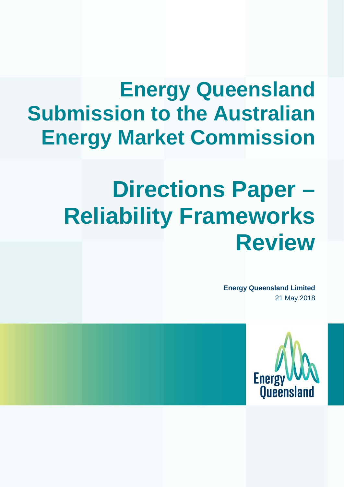# **Energy Queensland Submission to the Australian Energy Market Commission**

# **Directions Paper – Reliability Frameworks Review**

**Energy Queensland Limited** 21 May 2018

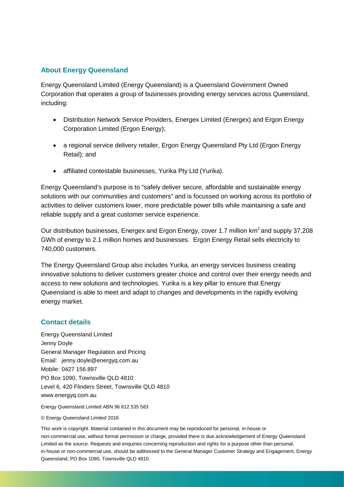### **About Energy Queensland**

Energy Queensland Limited (Energy Queensland) is a Queensland Government Owned Corporation that operates a group of businesses providing energy services across Queensland, including:

- Distribution Network Service Providers, Energex Limited (Energex) and Ergon Energy Corporation Limited (Ergon Energy);
- a regional service delivery retailer, Ergon Energy Queensland Pty Ltd (Ergon Energy Retail); and
- affiliated contestable businesses, Yurika Pty Ltd (Yurika).

Energy Queensland's purpose is to "safely deliver secure, affordable and sustainable energy solutions with our communities and customers" and is focussed on working across its portfolio of activities to deliver customers lower, more predictable power bills while maintaining a safe and reliable supply and a great customer service experience.

Our distribution businesses, Energex and Ergon Energy, cover 1.7 million km<sup>2</sup> and supply 37.208 GWh of energy to 2.1 million homes and businesses. Ergon Energy Retail sells electricity to 740,000 customers.

The Energy Queensland Group also includes Yurika, an energy services business creating innovative solutions to deliver customers greater choice and control over their energy needs and access to new solutions and technologies. Yurika is a key pillar to ensure that Energy Queensland is able to meet and adapt to changes and developments in the rapidly evolving energy market.

### **Contact details**

Energy Queensland Limited Jenny Doyle General Manager Regulation and Pricing Email: jenny.doyle@energyq.com.au Mobile: 0427 156 897 PO Box 1090, Townsville QLD 4810 Level 6, 420 Flinders Street, Townsville QLD 4810 www.energyq.com.au

Energy Queensland Limited ABN 96 612 535 583

#### © Energy Queensland Limited 2016

This work is copyright. Material contained in this document may be reproduced for personal, in-house or non-commercial use, without formal permission or charge, provided there is due acknowledgement of Energy Queensland Limited as the source. Requests and enquiries concerning reproduction and rights for a purpose other than personal, in-house or non-commercial use, should be addressed to the General Manager Customer Strategy and Engagement, Energy Queensland, PO Box 1090, Townsville QLD 4810.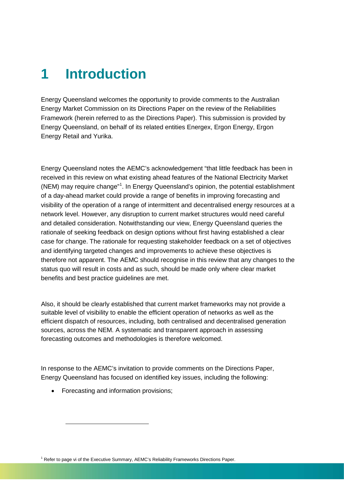# **1 Introduction**

Energy Queensland welcomes the opportunity to provide comments to the Australian Energy Market Commission on its Directions Paper on the review of the Reliabilities Framework (herein referred to as the Directions Paper). This submission is provided by Energy Queensland, on behalf of its related entities Energex, Ergon Energy, Ergon Energy Retail and Yurika.

Energy Queensland notes the AEMC's acknowledgement "that little feedback has been in received in this review on what existing ahead features of the National Electricity Market (NEM) may require change" [1](#page-3-0) . In Energy Queensland's opinion, the potential establishment of a day-ahead market could provide a range of benefits in improving forecasting and visibility of the operation of a range of intermittent and decentralised energy resources at a network level. However, any disruption to current market structures would need careful and detailed consideration. Notwithstanding our view, Energy Queensland queries the rationale of seeking feedback on design options without first having established a clear case for change. The rationale for requesting stakeholder feedback on a set of objectives and identifying targeted changes and improvements to achieve these objectives is therefore not apparent. The AEMC should recognise in this review that any changes to the status quo will result in costs and as such, should be made only where clear market benefits and best practice guidelines are met.

Also, it should be clearly established that current market frameworks may not provide a suitable level of visibility to enable the efficient operation of networks as well as the efficient dispatch of resources, including, both centralised and decentralised generation sources, across the NEM. A systematic and transparent approach in assessing forecasting outcomes and methodologies is therefore welcomed.

In response to the AEMC's invitation to provide comments on the Directions Paper, Energy Queensland has focused on identified key issues, including the following:

• Forecasting and information provisions;

-

<span id="page-3-0"></span><sup>1</sup> Refer to page vi of the Executive Summary, AEMC's Reliability Frameworks Directions Paper.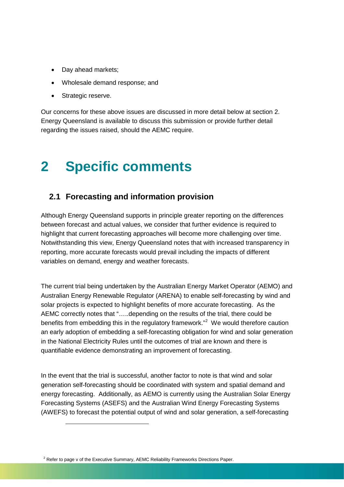- Day ahead markets;
- Wholesale demand response; and
- Strategic reserve.

Our concerns for these above issues are discussed in more detail below at section 2. Energy Queensland is available to discuss this submission or provide further detail regarding the issues raised, should the AEMC require.

# **2 Specific comments**

### **2.1 Forecasting and information provision**

Although Energy Queensland supports in principle greater reporting on the differences between forecast and actual values, we consider that further evidence is required to highlight that current forecasting approaches will become more challenging over time. Notwithstanding this view, Energy Queensland notes that with increased transparency in reporting, more accurate forecasts would prevail including the impacts of different variables on demand, energy and weather forecasts.

The current trial being undertaken by the Australian Energy Market Operator (AEMO) and Australian Energy Renewable Regulator (ARENA) to enable self-forecasting by wind and solar projects is expected to highlight benefits of more accurate forecasting. As the AEMC correctly notes that "…..depending on the results of the trial, there could be benefits from embedding this in the regulatory framework."<sup>[2](#page-4-0)</sup> We would therefore caution an early adoption of embedding a self-forecasting obligation for wind and solar generation in the National Electricity Rules until the outcomes of trial are known and there is quantifiable evidence demonstrating an improvement of forecasting.

In the event that the trial is successful, another factor to note is that wind and solar generation self-forecasting should be coordinated with system and spatial demand and energy forecasting. Additionally, as AEMO is currently using the Australian Solar Energy Forecasting Systems (ASEFS) and the Australian Wind Energy Forecasting Systems (AWEFS) to forecast the potential output of wind and solar generation, a self-forecasting

-

<span id="page-4-0"></span> $2$  Refer to page v of the Executive Summary, AEMC Reliability Frameworks Directions Paper.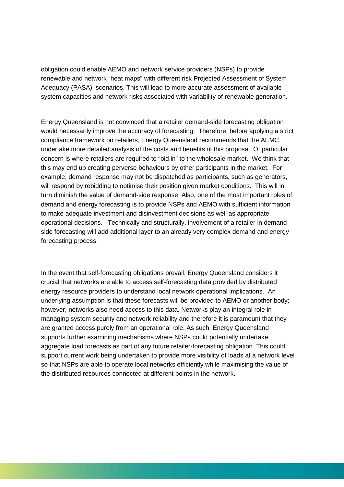obligation could enable AEMO and network service providers (NSPs) to provide renewable and network "heat maps" with different risk Projected Assessment of System Adequacy (PASA) scenarios. This will lead to more accurate assessment of available system capacities and network risks associated with variability of renewable generation.

Energy Queensland is not convinced that a retailer demand-side forecasting obligation would necessarily improve the accuracy of forecasting. Therefore, before applying a strict compliance framework on retailers, Energy Queensland recommends that the AEMC undertake more detailed analysis of the costs and benefits of this proposal. Of particular concern is where retailers are required to "bid in" to the wholesale market. We think that this may end up creating perverse behaviours by other participants in the market. For example, demand response may not be dispatched as participants, such as generators, will respond by rebidding to optimise their position given market conditions. This will in turn diminish the value of demand-side response. Also, one of the most important roles of demand and energy forecasting is to provide NSPs and AEMO with sufficient information to make adequate investment and disinvestment decisions as well as appropriate operational decisions. Technically and structurally, involvement of a retailer in demandside forecasting will add additional layer to an already very complex demand and energy forecasting process.

In the event that self-forecasting obligations prevail, Energy Queensland considers it crucial that networks are able to access self-forecasting data provided by distributed energy resource providers to understand local network operational implications. An underlying assumption is that these forecasts will be provided to AEMO or another body; however, networks also need access to this data. Networks play an integral role in managing system security and network reliability and therefore it is paramount that they are granted access purely from an operational role. As such, Energy Queensland supports further examining mechanisms where NSPs could potentially undertake aggregate load forecasts as part of any future retailer-forecasting obligation. This could support current work being undertaken to provide more visibility of loads at a network level so that NSPs are able to operate local networks efficiently while maximising the value of the distributed resources connected at different points in the network.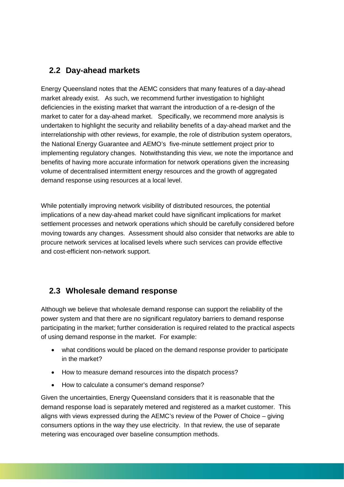## **2.2 Day-ahead markets**

Energy Queensland notes that the AEMC considers that many features of a day-ahead market already exist. As such, we recommend further investigation to highlight deficiencies in the existing market that warrant the introduction of a re-design of the market to cater for a day-ahead market. Specifically, we recommend more analysis is undertaken to highlight the security and reliability benefits of a day-ahead market and the interrelationship with other reviews, for example, the role of distribution system operators, the National Energy Guarantee and AEMO's five-minute settlement project prior to implementing regulatory changes. Notwithstanding this view, we note the importance and benefits of having more accurate information for network operations given the increasing volume of decentralised intermittent energy resources and the growth of aggregated demand response using resources at a local level.

While potentially improving network visibility of distributed resources, the potential implications of a new day-ahead market could have significant implications for market settlement processes and network operations which should be carefully considered before moving towards any changes. Assessment should also consider that networks are able to procure network services at localised levels where such services can provide effective and cost-efficient non-network support.

## **2.3 Wholesale demand response**

Although we believe that wholesale demand response can support the reliability of the power system and that there are no significant regulatory barriers to demand response participating in the market; further consideration is required related to the practical aspects of using demand response in the market. For example:

- what conditions would be placed on the demand response provider to participate in the market?
- How to measure demand resources into the dispatch process?
- How to calculate a consumer's demand response?

Given the uncertainties, Energy Queensland considers that it is reasonable that the demand response load is separately metered and registered as a market customer. This aligns with views expressed during the AEMC's review of the Power of Choice – giving consumers options in the way they use electricity. In that review, the use of separate metering was encouraged over baseline consumption methods.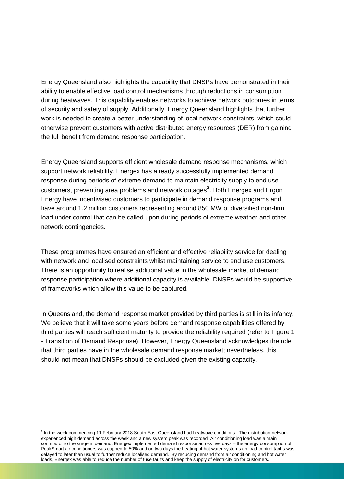Energy Queensland also highlights the capability that DNSPs have demonstrated in their ability to enable effective load control mechanisms through reductions in consumption during heatwaves. This capability enables networks to achieve network outcomes in terms of security and safety of supply. Additionally, Energy Queensland highlights that further work is needed to create a better understanding of local network constraints, which could otherwise prevent customers with active distributed energy resources (DER) from gaining the full benefit from demand response participation.

Energy Queensland supports efficient wholesale demand response mechanisms, which support network reliability. Energex has already successfully implemented demand response during periods of extreme demand to maintain electricity supply to end use customers, preventing area problems and network outages**[3](#page-7-0)** . Both Energex and Ergon Energy have incentivised customers to participate in demand response programs and have around 1.2 million customers representing around 850 MW of diversified non-firm load under control that can be called upon during periods of extreme weather and other network contingencies.

These programmes have ensured an efficient and effective reliability service for dealing with network and localised constraints whilst maintaining service to end use customers. There is an opportunity to realise additional value in the wholesale market of demand response participation where additional capacity is available. DNSPs would be supportive of frameworks which allow this value to be captured.

In Queensland, the demand response market provided by third parties is still in its infancy. We believe that it will take some years before demand response capabilities offered by third parties will reach sufficient maturity to provide the reliability required (refer to Figure 1 - Transition of Demand Response). However, Energy Queensland acknowledges the role that third parties have in the wholesale demand response market; nevertheless, this should not mean that DNSPs should be excluded given the existing capacity.

j

<span id="page-7-0"></span><sup>&</sup>lt;sup>3</sup> In the week commencing 11 February 2018 South East Queensland had heatwave conditions. The distribution network experienced high demand across the week and a new system peak was recorded. Air conditioning load was a main contributor to the surge in demand. Energex implemented demand response across five days – the energy consumption of PeakSmart air conditioners was capped to 50% and on two days the heating of hot water systems on load control tariffs was delayed to later than usual to further reduce localised demand. By reducing demand from air conditioning and hot water loads, Energex was able to reduce the number of fuse faults and keep the supply of electricity on for customers.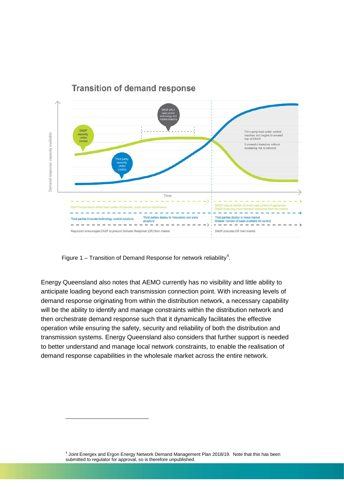

### **Transition of demand response**

Figure 1 – Transition of Demand Response for network reliability<sup>[4](#page-8-0)</sup>.

j

Energy Queensland also notes that AEMO currently has no visibility and little ability to anticipate loading beyond each transmission connection point. With increasing levels of demand response originating from within the distribution network, a necessary capability will be the ability to identify and manage constraints within the distribution network and then orchestrate demand response such that it dynamically facilitates the effective operation while ensuring the safety, security and reliability of both the distribution and transmission systems. Energy Queensland also considers that further support is needed to better understand and manage local network constraints, to enable the realisation of demand response capabilities in the wholesale market across the entire network.

> <span id="page-8-0"></span><sup>4</sup> Joint Energex and Ergon Energy Network Demand Management Plan 2018/19. Note that this has been submitted to regulator for approval, so is therefore unpublished.